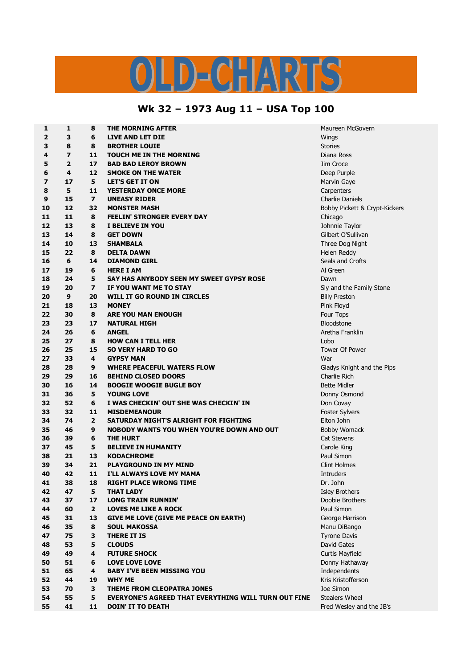## ID-CHARTS

## **Wk 32 – 1973 Aug 11 – USA Top 100**

| 1        | $\mathbf{1}$            | 8                       | THE MORNING AFTER                                           | Maureen McGovern                   |
|----------|-------------------------|-------------------------|-------------------------------------------------------------|------------------------------------|
| 2        | 3                       | 6                       | LIVE AND LET DIE                                            | Wings                              |
| 3        | 8                       | 8                       | <b>BROTHER LOUIE</b>                                        | <b>Stories</b>                     |
| 4        | $\overline{\mathbf{z}}$ | 11                      | TOUCH ME IN THE MORNING                                     | Diana Ross                         |
| 5        | $\overline{2}$          | 17                      | <b>BAD BAD LEROY BROWN</b>                                  | Jim Croce                          |
| 6        | 4                       | 12                      | <b>SMOKE ON THE WATER</b>                                   | Deep Purple                        |
| 7        | 17                      | 5                       | <b>LET'S GET IT ON</b>                                      | Marvin Gaye                        |
| 8        | 5                       | 11                      | <b>YESTERDAY ONCE MORE</b>                                  | Carpenters                         |
| 9        | 15                      | $\overline{\mathbf{z}}$ | <b>UNEASY RIDER</b>                                         | <b>Charlie Daniels</b>             |
| 10       | 12                      | 32                      | <b>MONSTER MASH</b>                                         | Bobby Pickett & Crypt-Kickers      |
| 11       | 11                      | 8                       | <b>FEELIN' STRONGER EVERY DAY</b>                           | Chicago                            |
| 12       | 13                      | 8                       | I BELIEVE IN YOU                                            | Johnnie Taylor                     |
| 13       | 14                      | 8                       | <b>GET DOWN</b>                                             | Gilbert O'Sullivan                 |
| 14       | 10                      | 13                      | <b>SHAMBALA</b>                                             | Three Dog Night                    |
| 15       | 22                      | 8                       | <b>DELTA DAWN</b>                                           | Helen Reddy                        |
| 16       | 6                       | 14                      | <b>DIAMOND GIRL</b>                                         | Seals and Crofts                   |
| 17       | 19                      | 6                       | <b>HERE I AM</b>                                            | Al Green                           |
| 18       | 24                      | 5                       | SAY HAS ANYBODY SEEN MY SWEET GYPSY ROSE                    | Dawn                               |
| 19       | 20                      | 7                       | IF YOU WANT ME TO STAY                                      | Sly and the Family Stone           |
| 20       | 9                       | 20                      | <b>WILL IT GO ROUND IN CIRCLES</b>                          | <b>Billy Preston</b>               |
| 21       | 18                      | 13                      | <b>MONEY</b>                                                | Pink Floyd                         |
| 22       | 30                      | 8                       | <b>ARE YOU MAN ENOUGH</b>                                   | Four Tops                          |
| 23       | 23                      | 17                      | <b>NATURAL HIGH</b>                                         | Bloodstone                         |
| 24       | 26                      | 6                       | <b>ANGEL</b>                                                | Aretha Franklin                    |
| 25       | 27                      | 8                       | <b>HOW CAN I TELL HER</b>                                   | Lobo                               |
| 26       | 25                      | 15                      | <b>SO VERY HARD TO GO</b>                                   | Tower Of Power                     |
| 27       | 33                      | 4                       | <b>GYPSY MAN</b>                                            | War                                |
| 28       | 28                      | 9                       | <b>WHERE PEACEFUL WATERS FLOW</b>                           | Gladys Knight and the Pips         |
| 29       | 29                      | 16                      | <b>BEHIND CLOSED DOORS</b>                                  | Charlie Rich                       |
| 30       | 16                      | 14                      | <b>BOOGIE WOOGIE BUGLE BOY</b>                              | <b>Bette Midler</b>                |
| 31       | 36                      | 5                       | <b>YOUNG LOVE</b>                                           | Donny Osmond                       |
| 32       | 52                      | 6                       | I WAS CHECKIN' OUT SHE WAS CHECKIN' IN                      | Don Covay                          |
| 33       | 32                      | 11                      | <b>MISDEMEANOUR</b>                                         | <b>Foster Sylvers</b>              |
| 34       | 74                      | 2                       | SATURDAY NIGHT'S ALRIGHT FOR FIGHTING                       | Elton John                         |
| 35       | 46                      | 9                       | <b>NOBODY WANTS YOU WHEN YOU'RE DOWN AND OUT</b>            | <b>Bobby Womack</b>                |
| 36       | 39                      | 6                       | <b>THE HURT</b>                                             | <b>Cat Stevens</b>                 |
| 37       | 45                      | 5                       | <b>BELIEVE IN HUMANITY</b>                                  | Carole King                        |
| 38       | 21                      | 13                      | <b>KODACHROME</b>                                           | Paul Simon                         |
| 39       | 34                      | 21                      | <b>PLAYGROUND IN MY MIND</b>                                | <b>Clint Holmes</b>                |
| 40       | 42                      | 11                      | I'LL ALWAYS LOVE MY MAMA                                    | Intruders                          |
| 41       | 38                      | 18                      | <b>RIGHT PLACE WRONG TIME</b>                               | Dr. John                           |
| 42       | 47                      | 5                       | <b>THAT LADY</b>                                            | <b>Isley Brothers</b>              |
| 43       | 37                      | 17                      | <b>LONG TRAIN RUNNIN'</b>                                   | Doobie Brothers                    |
| 44       | 60                      | $\overline{2}$          | <b>LOVES ME LIKE A ROCK</b>                                 | Paul Simon                         |
| 45       | 31                      | 13                      | <b>GIVE ME LOVE (GIVE ME PEACE ON EARTH)</b>                | George Harrison                    |
| 46       | 35                      | 8                       | <b>SOUL MAKOSSA</b>                                         | Manu DiBango                       |
| 47       | 75                      | 3                       | <b>THERE IT IS</b>                                          |                                    |
| 48       | 53                      | 5                       | <b>CLOUDS</b>                                               | <b>Tyrone Davis</b><br>David Gates |
|          |                         |                         |                                                             |                                    |
| 49       | 49                      | 4                       | <b>FUTURE SHOCK</b><br><b>LOVE LOVE LOVE</b>                | <b>Curtis Mayfield</b>             |
| 50<br>51 | 51<br>65                | 6<br>4                  |                                                             | Donny Hathaway                     |
|          |                         |                         | <b>BABY I'VE BEEN MISSING YOU</b>                           | Independents                       |
| 52       | 44                      | 19                      | <b>WHY ME</b>                                               | Kris Kristofferson                 |
| 53       | 70                      | 3                       | THEME FROM CLEOPATRA JONES                                  | Joe Simon                          |
| 54       | 55                      | 5                       | <b>EVERYONE'S AGREED THAT EVERYTHING WILL TURN OUT FINE</b> | <b>Stealers Wheel</b>              |
| 55       | 41                      | 11                      | <b>DOIN' IT TO DEATH</b>                                    | Fred Wesley and the JB's           |